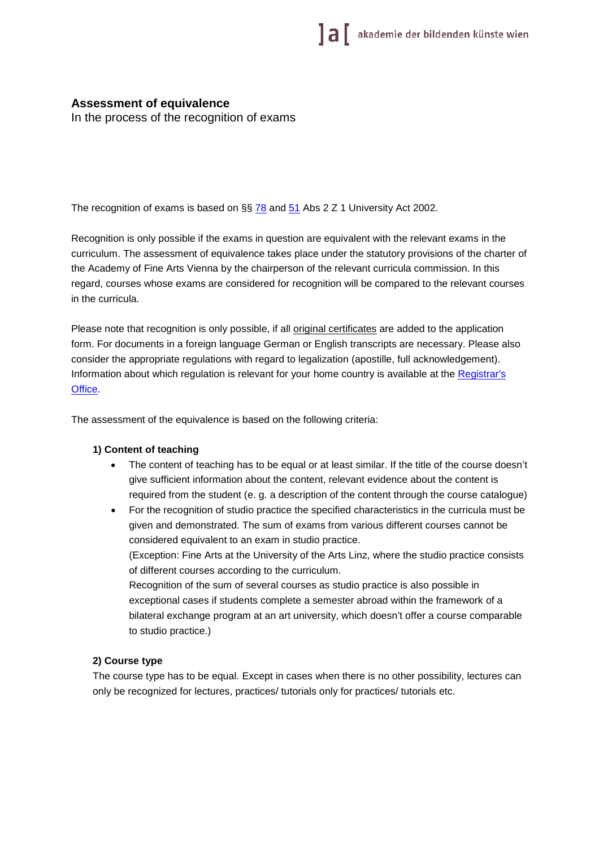# **Assessment of equivalence**

In the process of the recognition of exams

The recognition of exams is based on  $\S$   $78$  and  $51$  Abs 2 Z 1 University Act 2002.

Recognition is only possible if the exams in question are equivalent with the relevant exams in the curriculum. The assessment of equivalence takes place under the statutory provisions of the charter of the Academy of Fine Arts Vienna by the chairperson of the relevant curricula commission. In this regard, courses whose exams are considered for recognition will be compared to the relevant courses in the curricula.

Please note that recognition is only possible, if all *original certificates* are added to the application form. For documents in a foreign language German or English transcripts are necessary. Please also consider the appropriate regulations with regard to legalization (apostille, full acknowledgement). Information about which regulation is relevant for your home country is available at the Registrar's [Office.](https://www.akbild.ac.at/portal_en/academyen/about-us/administration/registrars-office/study-department?set_language=en&cl=en)

The assessment of the equivalence is based on the following criteria:

### **1) Content of teaching**

- The content of teaching has to be equal or at least similar. If the title of the course doesn't give sufficient information about the content, relevant evidence about the content is required from the student (e. g. a description of the content through the course catalogue)
- For the recognition of studio practice the specified characteristics in the curricula must be given and demonstrated. The sum of exams from various different courses cannot be considered equivalent to an exam in studio practice.

(Exception: Fine Arts at the University of the Arts Linz, where the studio practice consists of different courses according to the curriculum.

Recognition of the sum of several courses as studio practice is also possible in exceptional cases if students complete a semester abroad within the framework of a bilateral exchange program at an art university, which doesn't offer a course comparable to studio practice.)

### **2) Course type**

The course type has to be equal. Except in cases when there is no other possibility, lectures can only be recognized for lectures, practices/ tutorials only for practices/ tutorials etc.